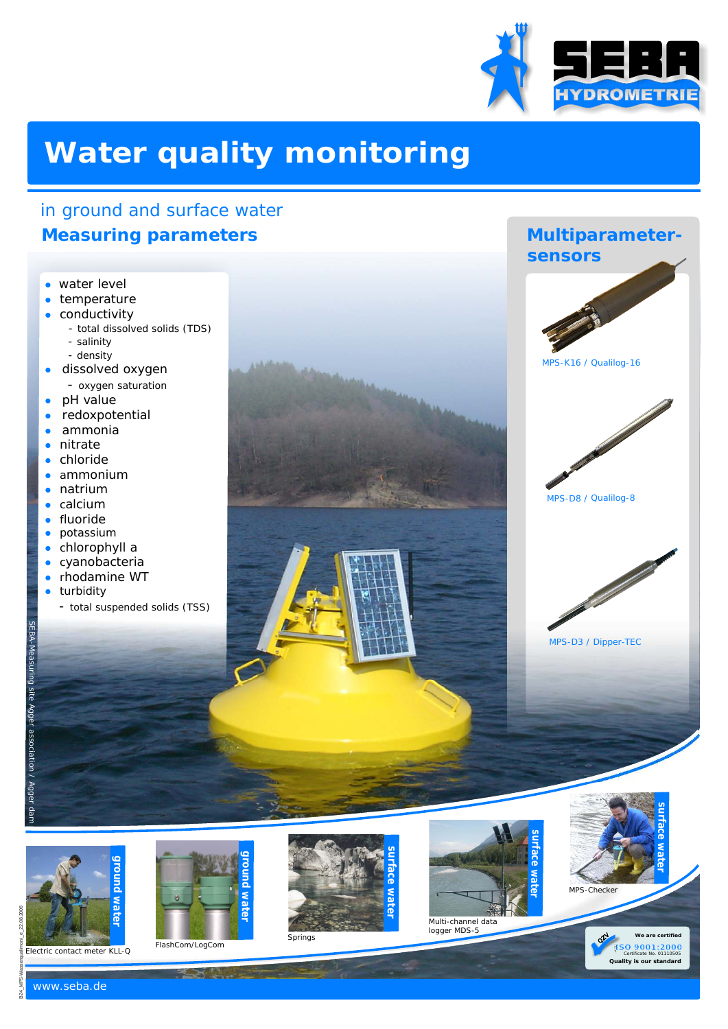

MPS-K16 / Qualilog-16

**Multiparameter-**

 **sensors**

MPS-D8 / Qualilog-8

MPS-D3 / Dipper-TEC

# **Water quality monitoring**

## in ground and surface water  **Measuring parameters**

- water level<br>• temperatur
- temperature
- conductivity
	- total dissolved solids (TDS)
	- salinity
	- density
- dissolved oxygen - oxygen saturation
- pH value  $\bullet$
- led a mitra<br>
led a mitra<br>
led a mitra<br>
led a mitra<br>
led a fluo<br>
led a chio<br>
led a chio<br>
led a chio<br>
led a chio<br>
led a chio<br>
led a chio<br>
led a chio<br>
led a chio<br>
led a chio<br>
led a chio<br>
led a chio redoxpotential ×
- ammonia ×
- nitrate  $\ddot{\phantom{a}}$
- chloride .
- ammonium  $\bullet$
- natrium  $\ddot{\phantom{a}}$
- calcium  $\bullet$
- fluoride ×
- potassium  $\blacksquare$
- chlorophyll a
- cyanobacteria  $\bullet$ rhodamine WT  $\bullet$
- turbidity
	- total suspended solids (TSS)

₹.









Multi-channel data logger MDS-5



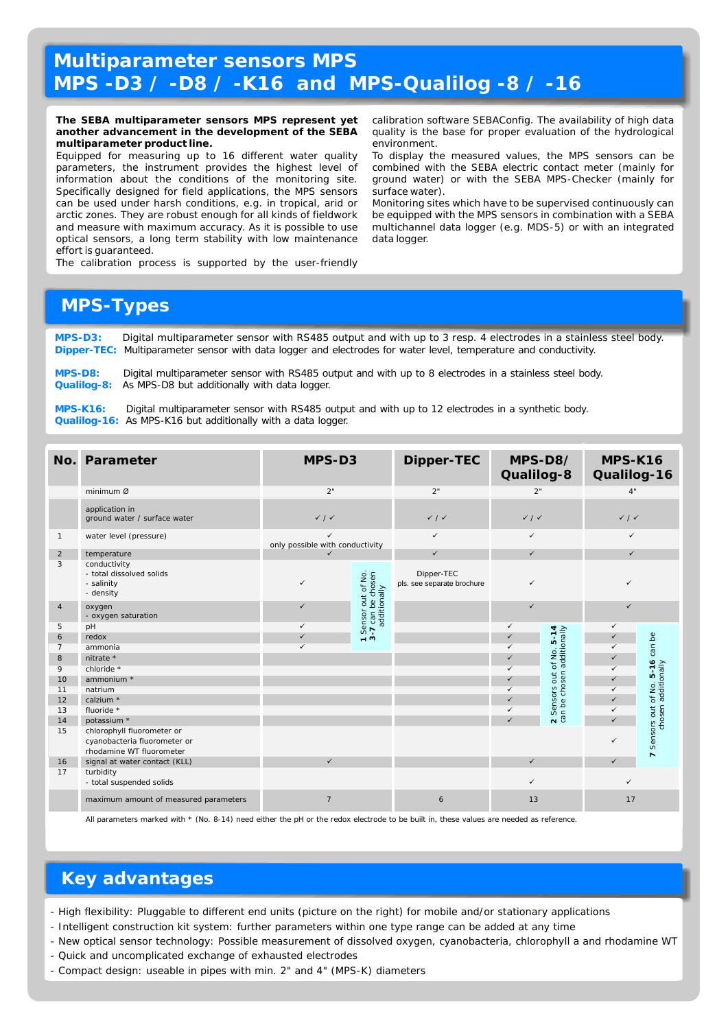### **Multiparameter sensors MPS MPS -D3 / -D8 / -K16 and MPS-Qualilog -8 / -16**

**The SEBA multiparameter sensors MPS represent yet** calibration software SEBAConfig. The availability of high data **another advancement in the development of the SEBA** quality is the base for proper evaluation of the hydrological

multiparameter product line.<br>**Equipped for measuring up to 16 different water quality** To display th Equipped for measuring up to 16 different water quality To display the measured values, the MPS sensors can be<br>parameters, the instrument provides the highest level of combined with the SEBA electric contact meter (mainly information about the conditions of the monitoring site. Specifically designed for field applications, the MPS sensors surface water). can be used under harsh conditions, e.g. in tropical, arid or Monitoring sites which have to be supervised continuously can arctic zones. They are robust enough for all kinds of fieldwork be equipped with the MPS sensors in combination with a SEBA and measure with maximum accuracy. As it is possible to use multichannel data logger (e.g. MDS-5) or with an integrated optical sensors, a long term stability with low maintenance data logger. effort is guaranteed.

combined with the SEBA electric contact meter (mainly for ground water) or with the SEBA MPS-Checker (mainly for

The calibration process is supported by the user-friendly

#### **MPS-Types**

**MPS-D3: Dipper-TEC:** Digital multiparameter sensor with RS485 output and with up to 3 resp. 4 electrodes in a stainless steel body. Multiparameter sensor with data logger and electrodes for water level, temperature and conductivity.

**MPS-D8: Qualilog-8:** Digital multiparameter sensor with RS485 output and with up to 8 electrodes in a stainless steel body. As MPS-D8 but additionally with data logger.

**MPS-K16:**  Qualilog-16: As MPS-K16 but additionally with a data logger. Digital multiparameter sensor with RS485 output and with up to 12 electrodes in a synthetic body.

| No.            | Parameter                                                           | MPS-D3                                          |                                                          | Dipper-TEC                               | MPS-D8/<br>Qualilog-8       |                                            | MPS-K16<br>Qualilog-16      |                                            |
|----------------|---------------------------------------------------------------------|-------------------------------------------------|----------------------------------------------------------|------------------------------------------|-----------------------------|--------------------------------------------|-----------------------------|--------------------------------------------|
|                | minimum Ø                                                           | 2"                                              |                                                          | 2"                                       | 2"                          |                                            | 4"                          |                                            |
|                | application in<br>ground water / surface water                      | $\checkmark$ / $\checkmark$                     |                                                          | $\checkmark$ / $\checkmark$              | $\checkmark$ / $\checkmark$ |                                            | $\checkmark$ / $\checkmark$ |                                            |
| $\mathbf{1}$   | water level (pressure)                                              | $\checkmark$<br>only possible with conductivity |                                                          | $\checkmark$                             | $\checkmark$                |                                            | $\checkmark$                |                                            |
| $\overline{2}$ | temperature                                                         | ✓                                               |                                                          | $\checkmark$                             | $\checkmark$                |                                            | $\checkmark$                |                                            |
| 3              | conductivity<br>- total dissolved solids<br>- salinity<br>- density | ✓                                               | 1 Sensor out of No.<br>3-7 can be chosen<br>additionally | Dipper-TEC<br>pls. see separate brochure | $\checkmark$                |                                            | ✓                           |                                            |
| $\overline{4}$ | oxygen<br>- oxygen saturation                                       | ✓                                               |                                                          |                                          | $\checkmark$                |                                            | $\checkmark$                |                                            |
| 5              | pH                                                                  | $\checkmark$                                    |                                                          |                                          | $\checkmark$                |                                            | ✓                           |                                            |
| 6              | redox                                                               | $\checkmark$                                    |                                                          |                                          | $\checkmark$                |                                            |                             | Be                                         |
| $\overline{7}$ | ammonia                                                             | ✓                                               |                                                          |                                          | ✓                           |                                            |                             | can                                        |
| 8              | nitrate *                                                           |                                                 |                                                          |                                          | ✓                           |                                            |                             |                                            |
| 9              | chloride *                                                          |                                                 |                                                          |                                          | ✓                           | ors out of No. 5-14<br>chosen additionally |                             | LO.                                        |
| 10             | ammonium *                                                          |                                                 |                                                          |                                          | ✓                           |                                            |                             |                                            |
| 11             | natrium                                                             |                                                 |                                                          |                                          | $\checkmark$                |                                            | ✓                           |                                            |
| 12<br>13       | calzium *<br>fluoride *                                             |                                                 |                                                          |                                          | $\checkmark$<br>✓           | Sensors                                    |                             |                                            |
| 14             | potassium *                                                         |                                                 |                                                          |                                          | $\checkmark$                | 2 Senso                                    |                             | prs out of No. 5-16<br>chosen additionally |
| 15             | chlorophyll fluorometer or                                          |                                                 |                                                          |                                          |                             |                                            |                             |                                            |
|                | cyanobacteria fluorometer or<br>rhodamine WT fluorometer            |                                                 |                                                          |                                          |                             |                                            |                             | Sensors out<br>$\overline{ }$              |
| 16             | signal at water contact (KLL)                                       | $\checkmark$                                    |                                                          |                                          | $\checkmark$                |                                            |                             |                                            |
| 17             | turbidity<br>- total suspended solids                               |                                                 |                                                          |                                          | $\checkmark$                |                                            | ✓                           |                                            |
|                | maximum amount of measured parameters                               | 7                                               |                                                          | 6                                        | 13                          |                                            | 17                          |                                            |

All parameters marked with \* (No. 8-14) need either the pH or the redox electrode to be built in, these values are needed as reference.

#### **Key advantages**

- High flexibility: Pluggable to different end units (picture on the right) for mobile and/or stationary applications
- Intelligent construction kit system: further parameters within one type range can be added at any time
- New optical sensor technology: Possible measurement of dissolved oxygen, cyanobacteria, chlorophyll a and rhodamine WT - Quick and uncomplicated exchange of exhausted electrodes
- Compact design: useable in pipes with min. 2" and 4" (MPS-K) diameters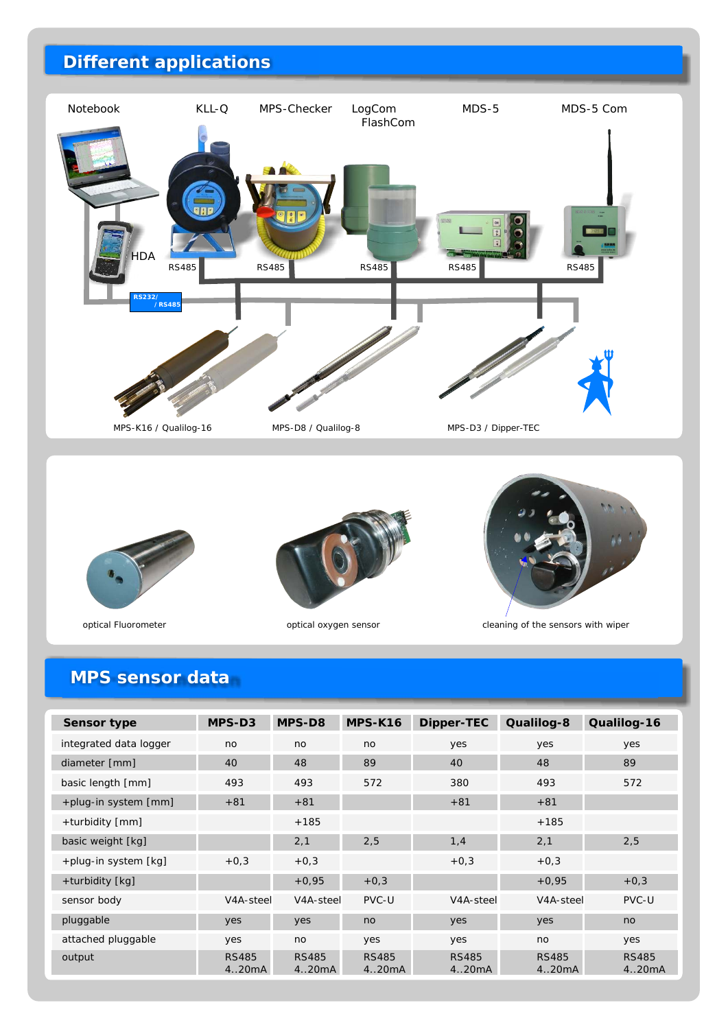## **Different applications**









optical Fluorometer optical oxygen sensor cleaning of the sensors with wiper

## **MPS sensor data**

| Sensor type                   | $MPS-D3$               | MPS-D8                 | MPS-K16                | Dipper-TEC             | Qualilog-8             | Qualilog-16           |
|-------------------------------|------------------------|------------------------|------------------------|------------------------|------------------------|-----------------------|
| integrated data logger        | no                     | no                     | no                     | yes                    | yes                    | yes                   |
| diameter [mm]                 | 40                     | 48                     | 89                     | 40                     | 48                     | 89                    |
| basic length [mm]             | 493                    | 493                    | 572                    | 380                    | 493                    | 572                   |
| +plug-in system [mm]          | $+81$                  | $+81$                  |                        | $+81$                  | $+81$                  |                       |
| +turbidity $\lceil mm \rceil$ |                        | $+185$                 |                        |                        | $+185$                 |                       |
| basic weight [kg]             |                        | 2,1                    | 2,5                    | 1,4                    | 2,1                    | 2,5                   |
| +plug-in system [kg]          | $+0,3$                 | $+0,3$                 |                        | $+0,3$                 | $+0,3$                 |                       |
| +turbidity [kg]               |                        | $+0.95$                | $+0,3$                 |                        | $+0,95$                | $+0,3$                |
| sensor body                   | V4A-steel              | V <sub>4</sub> A-steel | PVC-U                  | V <sub>4</sub> A-steel | V <sub>4</sub> A-steel | PVC-U                 |
| pluggable                     | yes                    | yes                    | no                     | yes                    | yes                    | no                    |
| attached pluggable            | yes                    | no                     | yes                    | yes                    | no                     | yes                   |
| output                        | <b>RS485</b><br>4.20mA | <b>RS485</b><br>4.20mA | <b>RS485</b><br>4.20mA | <b>RS485</b><br>420mA  | <b>RS485</b><br>4.20mA | <b>RS485</b><br>420mA |